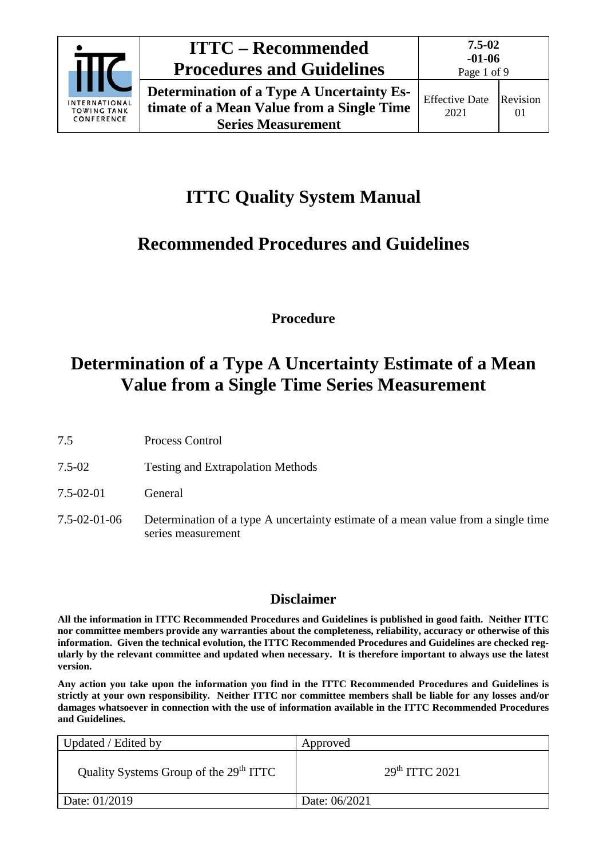

# **ITTC – Recommended Procedures and Guidelines**

**Determination of a Type A Uncertainty Estimate of a Mean Value from a Single Time Series Measurement**

# **ITTC Quality System Manual**

# **Recommended Procedures and Guidelines**

**Procedure**

# **Determination of a Type A Uncertainty Estimate of a Mean Value from a Single Time Series Measurement**

- 7.5 Process Control
- 7.5-02 Testing and Extrapolation Methods
- 7.5-02-01 General
- 7.5-02-01-06 Determination of a type A uncertainty estimate of a mean value from a single time series measurement

# **Disclaimer**

**All the information in ITTC Recommended Procedures and Guidelines is published in good faith. Neither ITTC nor committee members provide any warranties about the completeness, reliability, accuracy or otherwise of this information. Given the technical evolution, the ITTC Recommended Procedures and Guidelines are checked regularly by the relevant committee and updated when necessary. It is therefore important to always use the latest version.**

**Any action you take upon the information you find in the ITTC Recommended Procedures and Guidelines is strictly at your own responsibility. Neither ITTC nor committee members shall be liable for any losses and/or damages whatsoever in connection with the use of information available in the ITTC Recommended Procedures and Guidelines.**

| Updated / Edited by                                | Approved                   |
|----------------------------------------------------|----------------------------|
| Quality Systems Group of the 29 <sup>th</sup> ITTC | 29 <sup>th</sup> TTTC 2021 |
| Date: 01/2019                                      | Date: 06/2021              |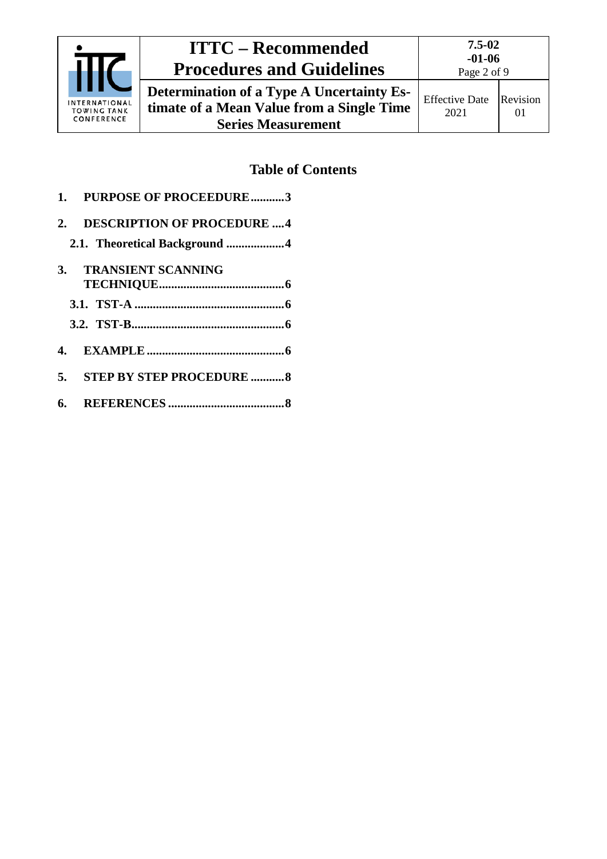

# **ITTC – Recommended Procedures and Guidelines**

01

**Determination of a Type A Uncertainty Estimate of a Mean Value from a Single Time Series Measurement** Effective Date 2021 Revision

# **Table of Contents**

**1. [PURPOSE OF PROCEEDURE...........3](#page-2-0) 2. [DESCRIPTION OF PROCEDURE](#page-3-0) ....4 2.1. [Theoretical Background](#page-3-1) ...................4 3. [TRANSIENT SCANNING](#page-5-0)  [TECHNIQUE.........................................6](#page-5-0) 3.1. TST-A [.................................................6](#page-5-1) 3.2. [TST-B..................................................6](#page-5-2) 4. [EXAMPLE.............................................6](#page-5-3) 5. [STEP BY STEP PROCEDURE](#page-7-0) ...........8 6. REFERENCES [......................................8](#page-7-1)**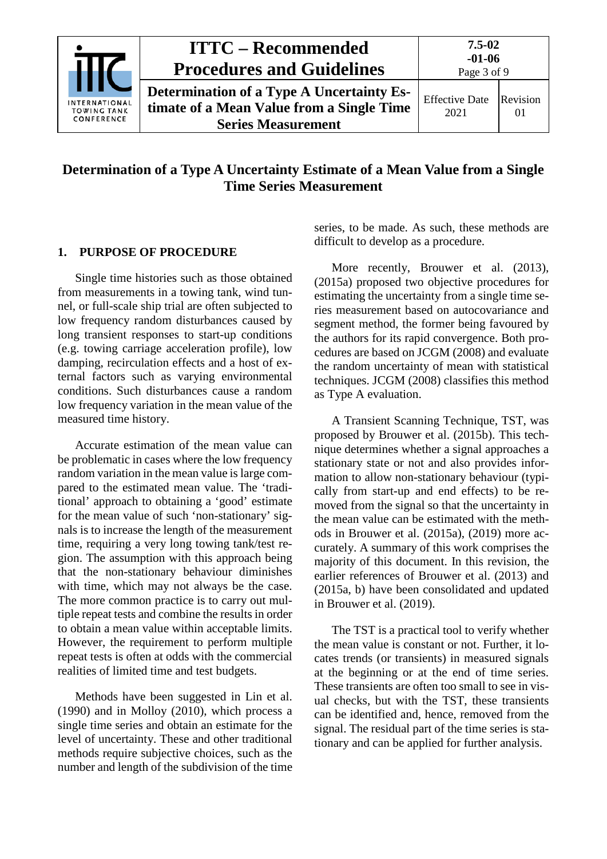

## **Determination of a Type A Uncertainty Estimate of a Mean Value from a Single Time Series Measurement**

### <span id="page-2-0"></span>**1. PURPOSE OF PROCEDURE**

Single time histories such as those obtained from measurements in a towing tank, wind tunnel, or full-scale ship trial are often subjected to low frequency random disturbances caused by long transient responses to start-up conditions (e.g. towing carriage acceleration profile), low damping, recirculation effects and a host of external factors such as varying environmental conditions. Such disturbances cause a random low frequency variation in the mean value of the measured time history.

Accurate estimation of the mean value can be problematic in cases where the low frequency random variation in the mean value is large compared to the estimated mean value. The 'traditional' approach to obtaining a 'good' estimate for the mean value of such 'non-stationary' signals is to increase the length of the measurement time, requiring a very long towing tank/test region. The assumption with this approach being that the non-stationary behaviour diminishes with time, which may not always be the case. The more common practice is to carry out multiple repeat tests and combine the results in order to obtain a mean value within acceptable limits. However, the requirement to perform multiple repeat tests is often at odds with the commercial realities of limited time and test budgets.

Methods have been suggested in Lin et al. (1990) and in Molloy (2010), which process a single time series and obtain an estimate for the level of uncertainty. These and other traditional methods require subjective choices, such as the number and length of the subdivision of the time series, to be made. As such, these methods are difficult to develop as a procedure.

More recently, Brouwer et al. (2013), (2015a) proposed two objective procedures for estimating the uncertainty from a single time series measurement based on autocovariance and segment method, the former being favoured by the authors for its rapid convergence. Both procedures are based on JCGM (2008) and evaluate the random uncertainty of mean with statistical techniques. JCGM (2008) classifies this method as Type A evaluation.

A Transient Scanning Technique, TST, was proposed by Brouwer et al. (2015b). This technique determines whether a signal approaches a stationary state or not and also provides information to allow non-stationary behaviour (typically from start-up and end effects) to be removed from the signal so that the uncertainty in the mean value can be estimated with the methods in Brouwer et al. (2015a), (2019) more accurately. A summary of this work comprises the majority of this document. In this revision, the earlier references of Brouwer et al. (2013) and (2015a, b) have been consolidated and updated in Brouwer et al. (2019).

The TST is a practical tool to verify whether the mean value is constant or not. Further, it locates trends (or transients) in measured signals at the beginning or at the end of time series. These transients are often too small to see in visual checks, but with the TST, these transients can be identified and, hence, removed from the signal. The residual part of the time series is stationary and can be applied for further analysis.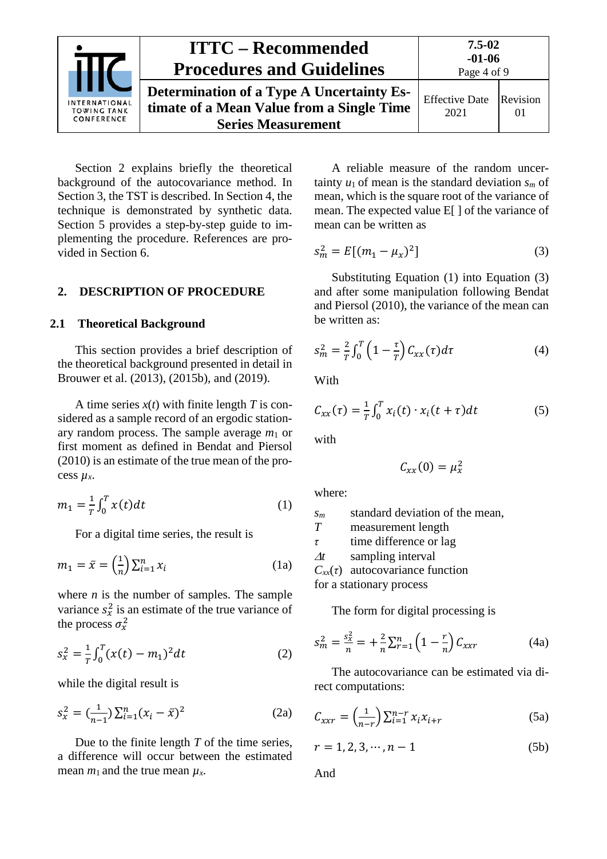

Section 2 explains briefly the theoretical background of the autocovariance method. In Section 3, the TST is described. In Section 4, the technique is demonstrated by synthetic data. Section 5 provides a step-by-step guide to implementing the procedure. References are provided in Section 6.

### <span id="page-3-1"></span><span id="page-3-0"></span>**2. DESCRIPTION OF PROCEDURE**

#### **2.1 Theoretical Background**

This section provides a brief description of the theoretical background presented in detail in Brouwer et al. (2013), (2015b), and (2019).

A time series  $x(t)$  with finite length *T* is considered as a sample record of an ergodic stationary random process. The sample average *m*<sup>1</sup> or first moment as defined in Bendat and Piersol (2010) is an estimate of the true mean of the process *µx*.

$$
m_1 = \frac{1}{T} \int_0^T x(t) dt
$$
 (1)

For a digital time series, the result is

$$
m_1 = \bar{x} = \left(\frac{1}{n}\right) \sum_{i=1}^n x_i \tag{1a}
$$

where *n* is the number of samples. The sample variance  $s_x^2$  is an estimate of the true variance of the process  $\sigma_x^2$ 

$$
s_x^2 = \frac{1}{T} \int_0^T (x(t) - m_1)^2 dt
$$
 (2)

while the digital result is

$$
s_x^2 = \left(\frac{1}{n-1}\right) \sum_{i=1}^n (x_i - \bar{x})^2
$$
 (2a)

Due to the finite length *T* of the time series, a difference will occur between the estimated mean  $m_1$  and the true mean  $\mu_x$ .

A reliable measure of the random uncertainty  $u_1$  of mean is the standard deviation  $s_m$  of mean, which is the square root of the variance of mean. The expected value E[ ] of the variance of mean can be written as

<span id="page-3-3"></span>
$$
s_m^2 = E[(m_1 - \mu_x)^2]
$$
 (3)

Substituting Equation [\(1\)](#page-3-2) into Equation [\(3\)](#page-3-3) and after some manipulation following Bendat and Piersol (2010), the variance of the mean can be written as:

$$
s_m^2 = \frac{2}{T} \int_0^T \left(1 - \frac{\tau}{T}\right) C_{xx}(\tau) d\tau \tag{4}
$$

**With** 

$$
C_{xx}(\tau) = \frac{1}{T} \int_0^T x_i(t) \cdot x_i(t+\tau) dt
$$
 (5)

with

<span id="page-3-4"></span>
$$
C_{xx}(0)=\mu_x^2
$$

<span id="page-3-2"></span>where:

*sm* standard deviation of the mean, *T* measurement length *τ* time difference or lag <sup>∆</sup>*t* sampling interval

 $C_{xx}(\tau)$  autocovariance function

for a stationary process

The form for digital processing is

$$
s_m^2 = \frac{s_x^2}{n} = +\frac{2}{n} \sum_{r=1}^n \left(1 - \frac{r}{n}\right) C_{xxr} \tag{4a}
$$

The autocovariance can be estimated via direct computations:

$$
C_{xxr} = \left(\frac{1}{n-r}\right) \sum_{i=1}^{n-r} x_i x_{i+r} \tag{5a}
$$

$$
r = 1, 2, 3, \cdots, n - 1
$$
 (5b)

And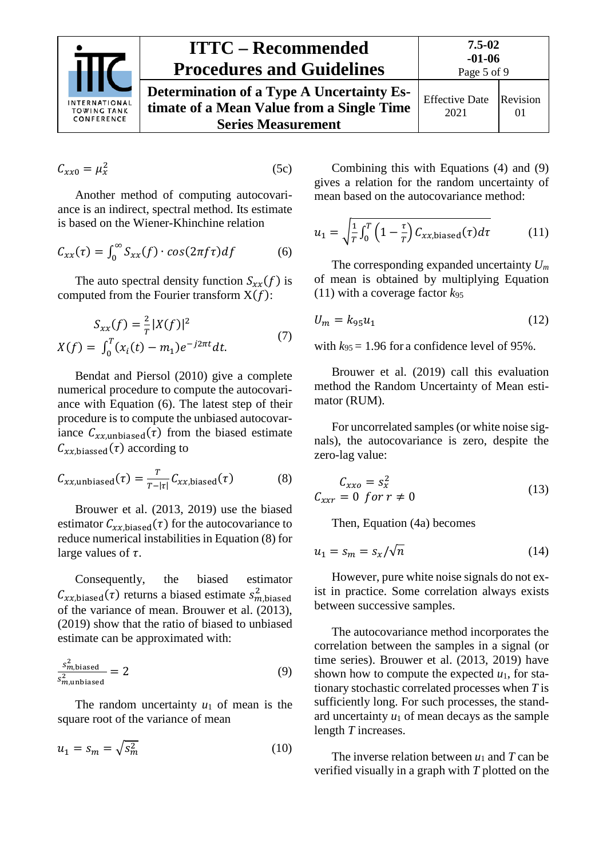

# **ITTC – Recommended Procedures and Guidelines**

<span id="page-4-4"></span><span id="page-4-3"></span>Revision 01

Page 5 of 9 **Determination of a Type A Uncertainty Estimate of a Mean Value from a Single Time Series Measurement** Effective Date 2021

$$
C_{xx0} = \mu_x^2 \tag{5c}
$$

Another method of computing autocovariance is an indirect, spectral method. Its estimate is based on the Wiener-Khinchine relation

$$
C_{xx}(\tau) = \int_0^\infty S_{xx}(f) \cdot \cos(2\pi f \tau) df \tag{6}
$$

The auto spectral density function  $S_{xx}(f)$  is computed from the Fourier transform  $X(f)$ :

$$
S_{xx}(f) = \frac{2}{T} |X(f)|^2
$$
  

$$
X(f) = \int_0^T (x_i(t) - m_1) e^{-j2\pi t} dt.
$$
 (7)

Bendat and Piersol (2010) give a complete numerical procedure to compute the autocovariance with Equation [\(6\).](#page-4-0) The latest step of their procedure is to compute the unbiased autocovariance  $C_{xx,\text{unbiased}}(\tau)$  from the biased estimate  $C_{xx,biassed}(\tau)$  according to

$$
C_{xx,unbiased}(\tau) = \frac{\tau}{\tau - |\tau|} C_{xx,biased}(\tau) \tag{8}
$$

Brouwer et al. (2013, 2019) use the biased estimator  $C_{xx,biased}(\tau)$  for the autocovariance to reduce numerical instabilities in Equation [\(8\)](#page-4-1) for large values of  $\tau$ .

Consequently, the biased estimator  $C_{xx,biased}(\tau)$  returns a biased estimate  $s_{m,biased}^2$ of the variance of mean. Brouwer et al. (2013), (2019) show that the ratio of biased to unbiased estimate can be approximated with:

$$
\frac{s_{m,\text{biased}}^2}{s_{m,\text{unbiased}}^2} = 2\tag{9}
$$

The random uncertainty  $u_1$  of mean is the square root of the variance of mean

$$
u_1 = s_m = \sqrt{s_m^2} \tag{10}
$$

Combining this with Equations [\(4\)](#page-3-4) and [\(9\)](#page-4-2) gives a relation for the random uncertainty of mean based on the autocovariance method:

<span id="page-4-0"></span>
$$
u_1 = \sqrt{\frac{1}{T} \int_0^T \left(1 - \frac{\tau}{T}\right) C_{xx, \text{biased}}(\tau) d\tau}
$$
 (11)

The corresponding expanded uncertainty *Um* of mean is obtained by multiplying Equation [\(11\)](#page-4-3) with a coverage factor *k*<sup>95</sup>

$$
U_m = k_{95}u_1 \tag{12}
$$

with  $k_{95} = 1.96$  for a confidence level of 95%.

Brouwer et al. (2019) call this evaluation method the Random Uncertainty of Mean estimator (RUM).

For uncorrelated samples (or white noise signals), the autocovariance is zero, despite the zero-lag value:

<span id="page-4-1"></span>
$$
C_{xxo} = s_x^2
$$
  
\n
$$
C_{xxr} = 0 \text{ for } r \neq 0
$$
\n(13)

Then, Equation (4a) becomes

$$
u_1 = s_m = s_x / \sqrt{n} \tag{14}
$$

However, pure white noise signals do not exist in practice. Some correlation always exists between successive samples.

<span id="page-4-2"></span>The autocovariance method incorporates the correlation between the samples in a signal (or time series). Brouwer et al. (2013, 2019) have shown how to compute the expected *u*1, for stationary stochastic correlated processes when *T* is sufficiently long. For such processes, the standard uncertainty  $u_1$  of mean decays as the sample length *T* increases.

The inverse relation between *u*<sup>1</sup> and *T* can be verified visually in a graph with *T* plotted on the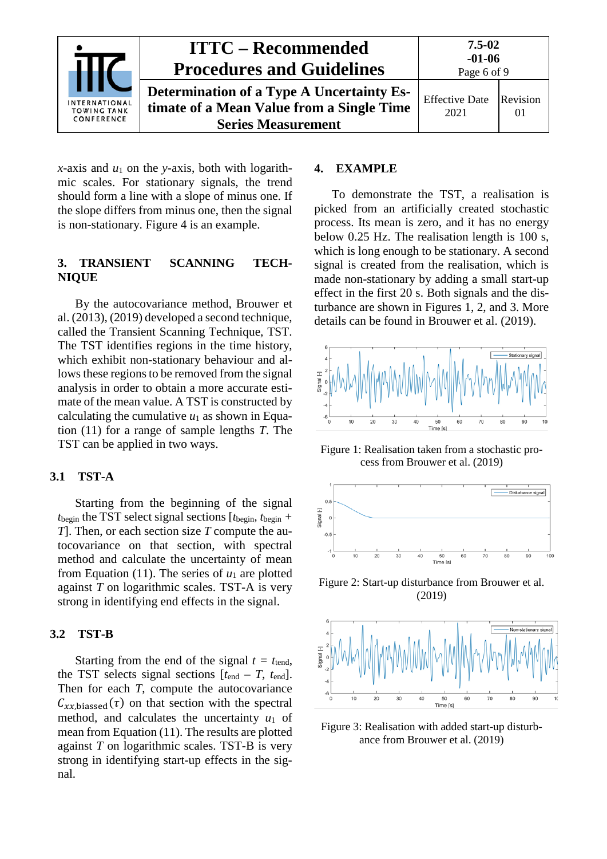

*x*-axis and  $u_1$  on the *y*-axis, both with logarithmic scales. For stationary signals, the trend should form a line with a slope of minus one. If the slope differs from minus one, then the signal is non-stationary. [Figure 4](#page-6-0) is an example.

### <span id="page-5-0"></span>**3. TRANSIENT SCANNING TECH-NIQUE**

By the autocovariance method, Brouwer et al. (2013), (2019) developed a second technique, called the Transient Scanning Technique, TST. The TST identifies regions in the time history, which exhibit non-stationary behaviour and allows these regions to be removed from the signal analysis in order to obtain a more accurate estimate of the mean value. A TST is constructed by calculating the cumulative  $u_1$  as shown in Equation [\(11\)](#page-4-3) for a range of sample lengths *T*. The TST can be applied in two ways.

## <span id="page-5-1"></span>**3.1 TST-A**

Starting from the beginning of the signal  $t_{\text{begin}}$  the TST select signal sections  $[t_{\text{begin}}, t_{\text{begin}} + \frac{1}{2}t_{\text{begin}}t_{\text{begin}}t_{\text{begin}}t_{\text{begin}}t_{\text{begin}}t_{\text{begin}}t_{\text{begin}}t_{\text{begin}}t_{\text{begin}}t_{\text{begin}}t_{\text{begin}}t_{\text{begin}}t_{\text{begin}}t_{\text{begin}}t_{\text{begin}}t_{\text{begin}}t_{\text{begin}}t_{\text{begin}}t_{\text{begin}}t_{\text{begin}}t_{\text{begin}}t_{\text{begin}}t_{$ *T*]. Then, or each section size *T* compute the autocovariance on that section, with spectral method and calculate the uncertainty of mean from Equation [\(11\)](#page-4-3). The series of  $u_1$  are plotted against *T* on logarithmic scales. TST-A is very strong in identifying end effects in the signal.

## <span id="page-5-2"></span>**3.2 TST-B**

Starting from the end of the signal  $t = t_{\text{tend}}$ , the TST selects signal sections  $[t_{\text{end}} - T, t_{\text{end}}]$ . Then for each *T*, compute the autocovariance  $C_{xx,biassed}(\tau)$  on that section with the spectral method, and calculates the uncertainty  $u_1$  of mean from Equation [\(11\).](#page-4-3) The results are plotted against *T* on logarithmic scales. TST-B is very strong in identifying start-up effects in the signal.

#### <span id="page-5-3"></span>**4. EXAMPLE**

To demonstrate the TST, a realisation is picked from an artificially created stochastic process. Its mean is zero, and it has no energy below 0.25 Hz. The realisation length is 100 s, which is long enough to be stationary. A second signal is created from the realisation, which is made non-stationary by adding a small start-up effect in the first 20 s. Both signals and the disturbance are shown in Figures 1, 2, and 3. More details can be found in Brouwer et al. (2019).



Figure 1: Realisation taken from a stochastic process from Brouwer et al. (2019)



Figure 2: Start-up disturbance from Brouwer et al. (2019)



<span id="page-5-4"></span>Figure 3: Realisation with added start-up disturbance from Brouwer et al. (2019)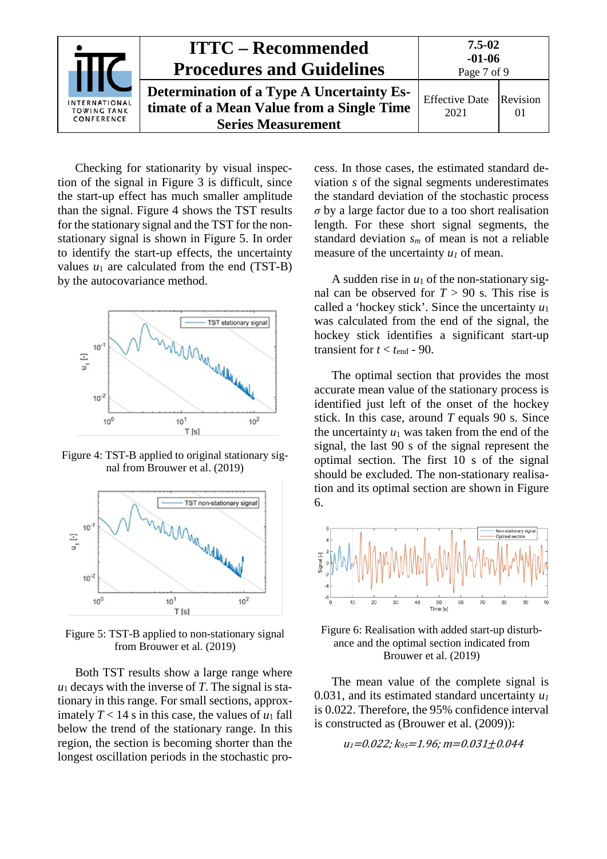

Checking for stationarity by visual inspection of the signal in [Figure 3](#page-5-4) is difficult, since the start-up effect has much smaller amplitude than the signal. [Figure 4](#page-6-0) shows the TST results for the stationary signal and the TST for the nonstationary signal is shown in [Figure 5.](#page-6-1) In order to identify the start-up effects, the uncertainty values  $u_1$  are calculated from the end (TST-B) by the autocovariance method.



<span id="page-6-0"></span>Figure 4: TST-B applied to original stationary signal from Brouwer et al. (2019)



<span id="page-6-1"></span>Figure 5: TST-B applied to non-stationary signal from Brouwer et al. (2019)

Both TST results show a large range where  $u_1$  decays with the inverse of *T*. The signal is stationary in this range. For small sections, approximately  $T < 14$  s in this case, the values of  $u_1$  fall below the trend of the stationary range. In this region, the section is becoming shorter than the longest oscillation periods in the stochastic process. In those cases, the estimated standard deviation *s* of the signal segments underestimates the standard deviation of the stochastic process *σ* by a large factor due to a too short realisation length. For these short signal segments, the standard deviation *sm* of mean is not a reliable measure of the uncertainty  $u_1$  of mean.

A sudden rise in  $u_1$  of the non-stationary signal can be observed for  $T > 90$  s. This rise is called a 'hockey stick'. Since the uncertainty *u*<sup>1</sup> was calculated from the end of the signal, the hockey stick identifies a significant start-up transient for  $t < t_{end}$  - 90.

The optimal section that provides the most accurate mean value of the stationary process is identified just left of the onset of the hockey stick. In this case, around *T* equals 90 s. Since the uncertainty  $u_1$  was taken from the end of the signal, the last 90 s of the signal represent the optimal section. The first 10 s of the signal should be excluded. The non-stationary realisation and its optimal section are shown in [Figure](#page-6-2)  [6.](#page-6-2)



<span id="page-6-2"></span>Figure 6: Realisation with added start-up disturbance and the optimal section indicated from Brouwer et al. (2019)

The mean value of the complete signal is 0.031, and its estimated standard uncertainty  $u_1$ is 0.022. Therefore, the 95% confidence interval is constructed as (Brouwer et al. (2009)):

$$
u_1
$$
=0.022;  $k_{95}$ =1.96; m=0.031±0.044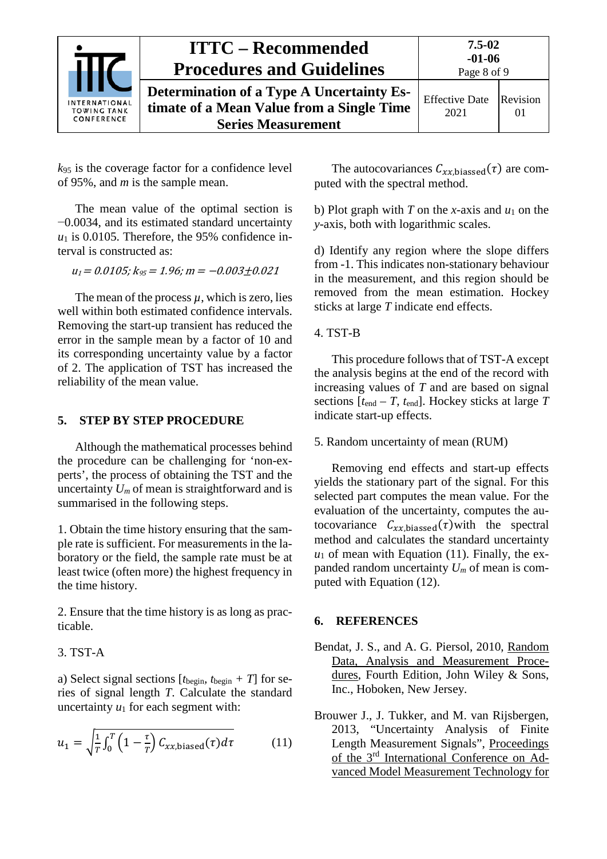

 $k_{95}$  is the coverage factor for a confidence level of 95%, and *m* is the sample mean.

The mean value of the optimal section is −0.0034, and its estimated standard uncertainty  $u_1$  is 0.0105. Therefore, the 95% confidence interval is constructed as:

 $u_1 = 0.0105$ ;  $k_{95} = 1.96$ ;  $m = -0.003 \pm 0.021$ 

The mean of the process  $\mu$ , which is zero, lies well within both estimated confidence intervals. Removing the start-up transient has reduced the error in the sample mean by a factor of 10 and its corresponding uncertainty value by a factor of 2. The application of TST has increased the reliability of the mean value.

### <span id="page-7-0"></span>**5. STEP BY STEP PROCEDURE**

Although the mathematical processes behind the procedure can be challenging for 'non-experts', the process of obtaining the TST and the uncertainty  $U_m$  of mean is straightforward and is summarised in the following steps.

1. Obtain the time history ensuring that the sample rate is sufficient. For measurements in the laboratory or the field, the sample rate must be at least twice (often more) the highest frequency in the time history.

2. Ensure that the time history is as long as practicable.

## 3. TST-A

a) Select signal sections  $[t_{begin} t_{begin} + T]$  for series of signal length *T*. Calculate the standard uncertainty  $u_1$  for each segment with:

$$
u_1 = \sqrt{\frac{1}{T} \int_0^T \left(1 - \frac{\tau}{T}\right) C_{xx, \text{biased}}(\tau) d\tau}
$$
 (11)

The autocovariances  $C_{xx,biassed}(\tau)$  are computed with the spectral method.

b) Plot graph with *T* on the *x*-axis and  $u_1$  on the *y*-axis, both with logarithmic scales.

d) Identify any region where the slope differs from -1. This indicates non-stationary behaviour in the measurement, and this region should be removed from the mean estimation. Hockey sticks at large *T* indicate end effects.

#### 4. TST-B

This procedure follows that of TST-A except the analysis begins at the end of the record with increasing values of *T* and are based on signal sections  $[t_{\text{end}} - T, t_{\text{end}}]$ . Hockey sticks at large  $T$ indicate start-up effects.

### 5. Random uncertainty of mean (RUM)

Removing end effects and start-up effects yields the stationary part of the signal. For this selected part computes the mean value. For the evaluation of the uncertainty, computes the autocovariance  $C_{xx,biassed}(\tau)$  with the spectral method and calculates the standard uncertainty  $u_1$  of mean with Equation [\(11\).](#page-4-3) Finally, the expanded random uncertainty *Um* of mean is computed with Equation [\(12\).](#page-4-4)

#### <span id="page-7-1"></span>**6. REFERENCES**

- Bendat, J. S., and A. G. Piersol, 2010, Random Data, Analysis and Measurement Procedures, Fourth Edition, John Wiley & Sons, Inc., Hoboken, New Jersey.
- Brouwer J., J. Tukker, and M. van Rijsbergen, 2013, "Uncertainty Analysis of Finite Length Measurement Signals", Proceedings of the 3rd International Conference on Advanced Model Measurement Technology for